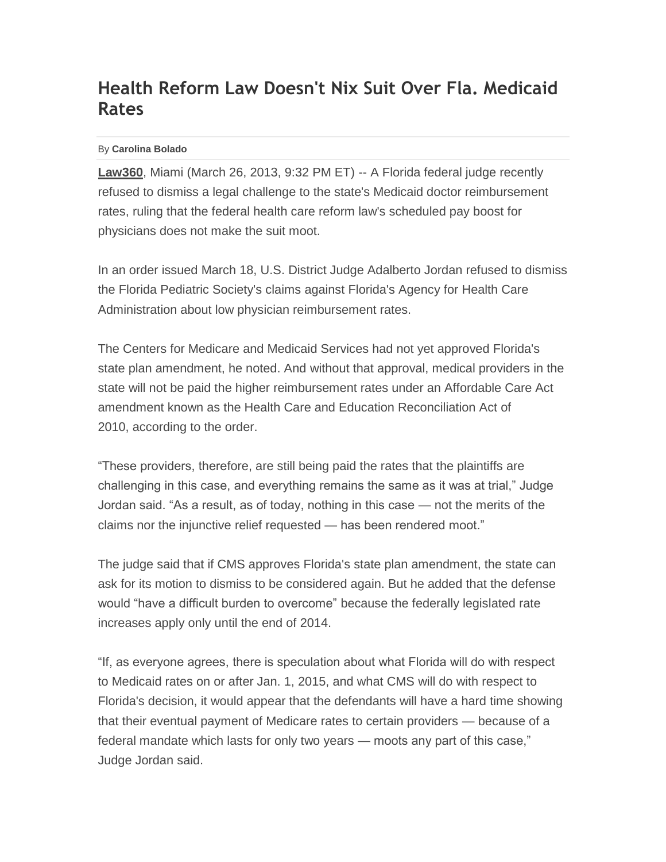## **Health Reform Law Doesn't Nix Suit Over Fla. Medicaid Rates**

## By **Carolina Bolado**

**Law360**, Miami (March 26, 2013, 9:32 PM ET) -- A Florida federal judge recently refused to dismiss a legal challenge to the state's Medicaid doctor reimbursement rates, ruling that the federal health care reform law's scheduled pay boost for physicians does not make the suit moot.

In an order issued March 18, U.S. District Judge Adalberto Jordan refused to dismiss the Florida Pediatric Society's claims against Florida's Agency for Health Care Administration about low physician reimbursement rates.

The Centers for Medicare and Medicaid Services had not yet approved Florida's state plan amendment, he noted. And without that approval, medical providers in the state will not be paid the higher reimbursement rates under an Affordable Care Act amendment known as the Health Care and Education Reconciliation Act of 2010, according to the order.

"These providers, therefore, are still being paid the rates that the plaintiffs are challenging in this case, and everything remains the same as it was at trial," Judge Jordan said. "As a result, as of today, nothing in this case — not the merits of the claims nor the injunctive relief requested — has been rendered moot."

The judge said that if CMS approves Florida's state plan amendment, the state can ask for its motion to dismiss to be considered again. But he added that the defense would "have a difficult burden to overcome" because the federally legislated rate increases apply only until the end of 2014.

"If, as everyone agrees, there is speculation about what Florida will do with respect to Medicaid rates on or after Jan. 1, 2015, and what CMS will do with respect to Florida's decision, it would appear that the defendants will have a hard time showing that their eventual payment of Medicare rates to certain providers — because of a federal mandate which lasts for only two years — moots any part of this case," Judge Jordan said.